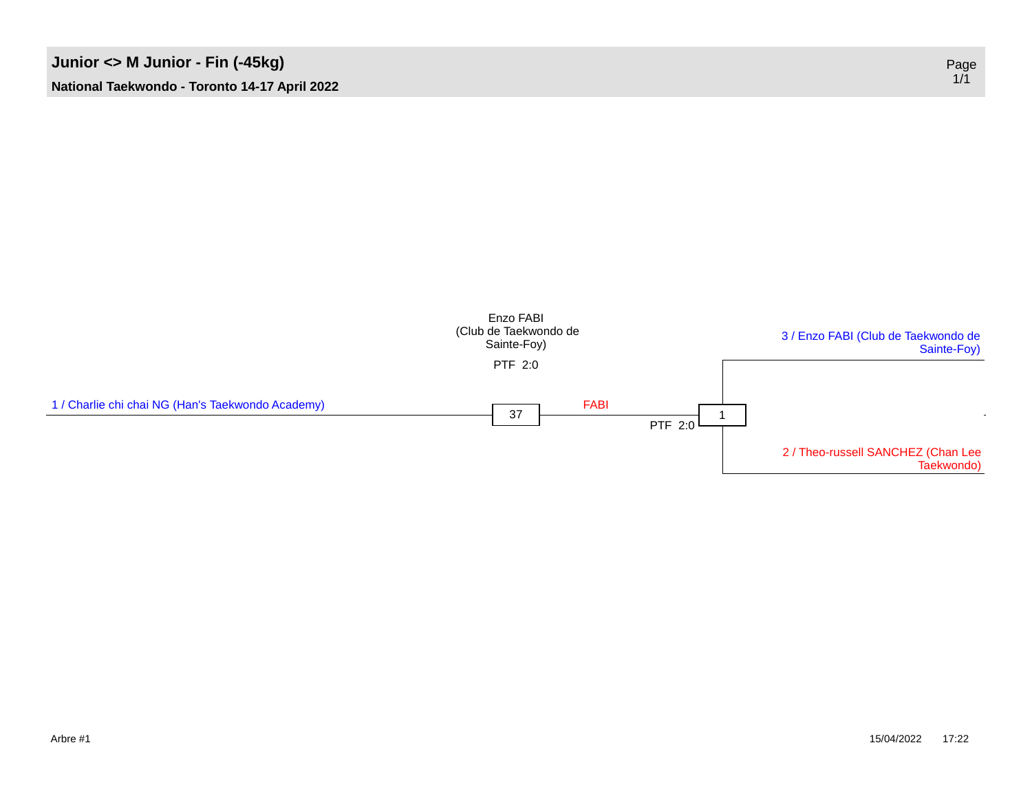

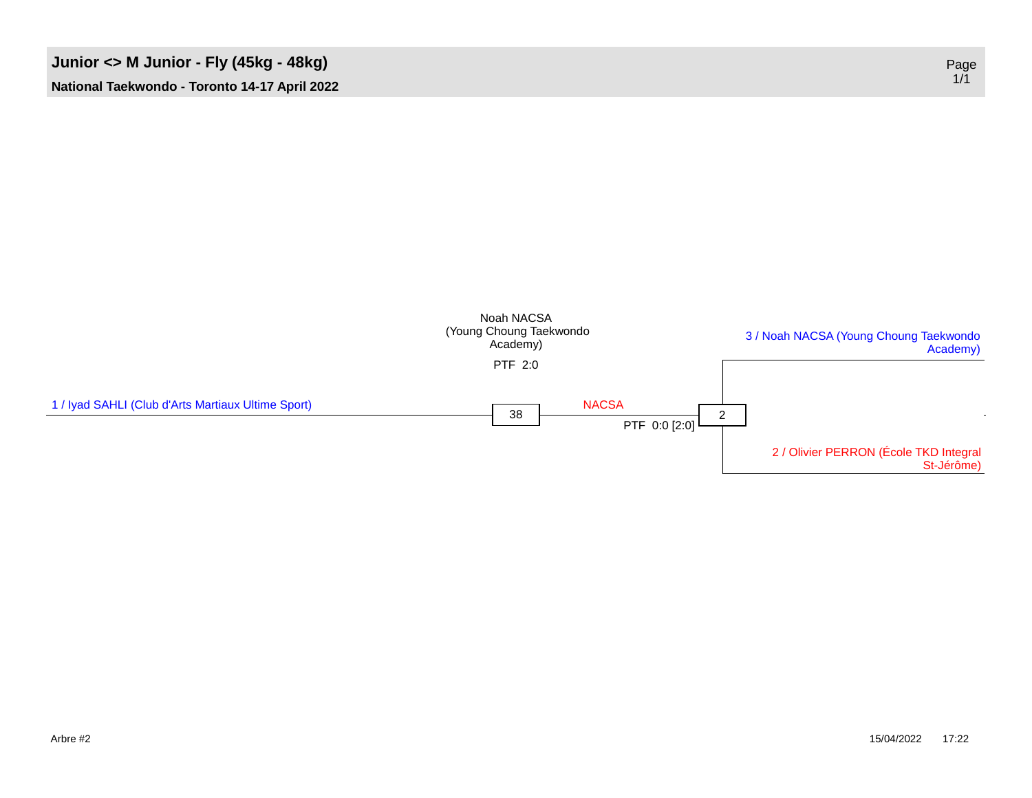### **Junior <> M Junior - Fly (45kg - 48kg)** Page



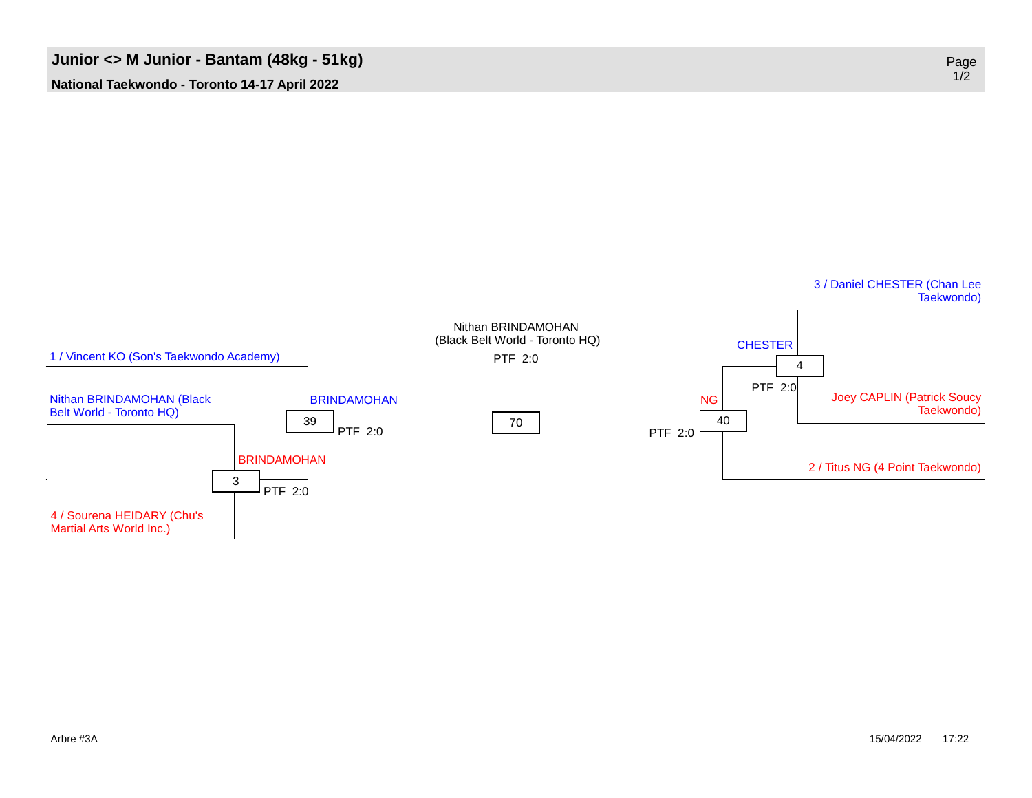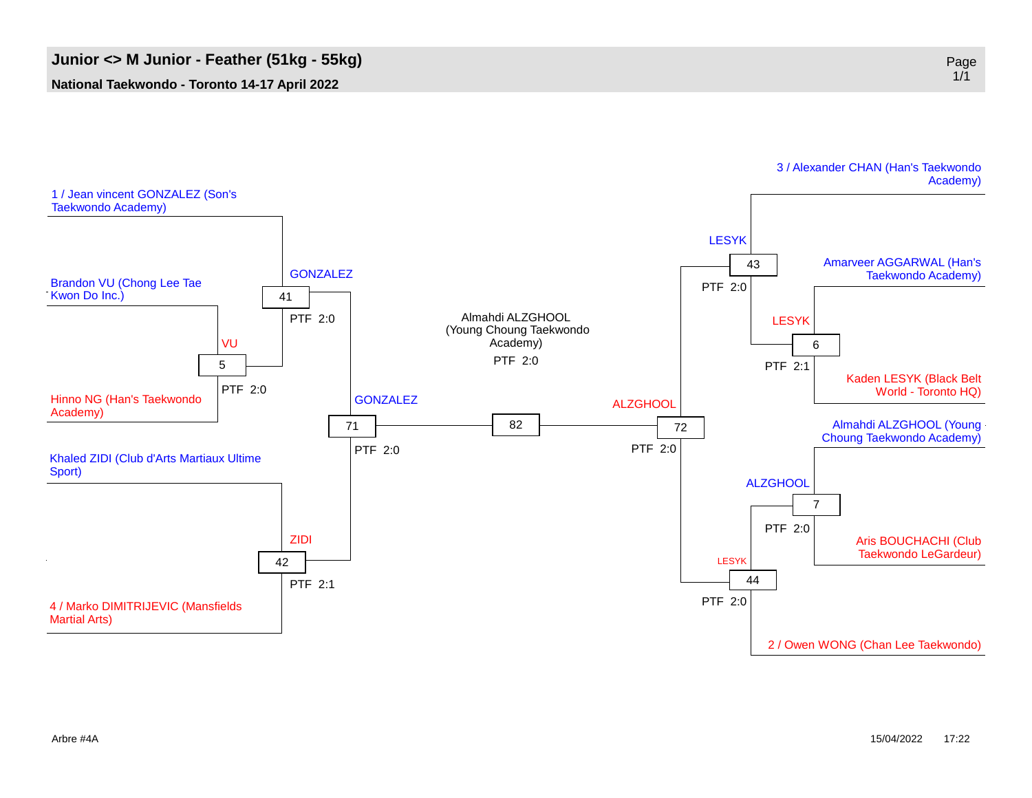

3 / Alexander CHAN (Han's Taekwondo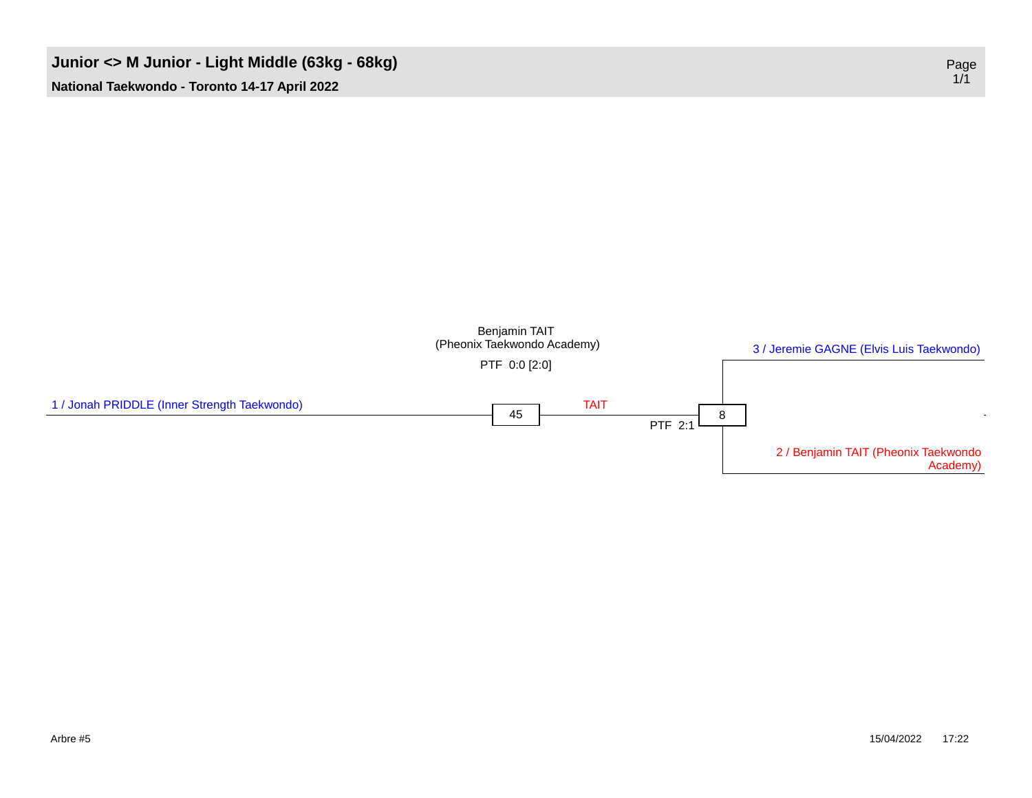#### **Junior <> M Junior - Light Middle (63kg - 68kg)** Page

**National Taekwondo - Toronto 14-17 April 2022**

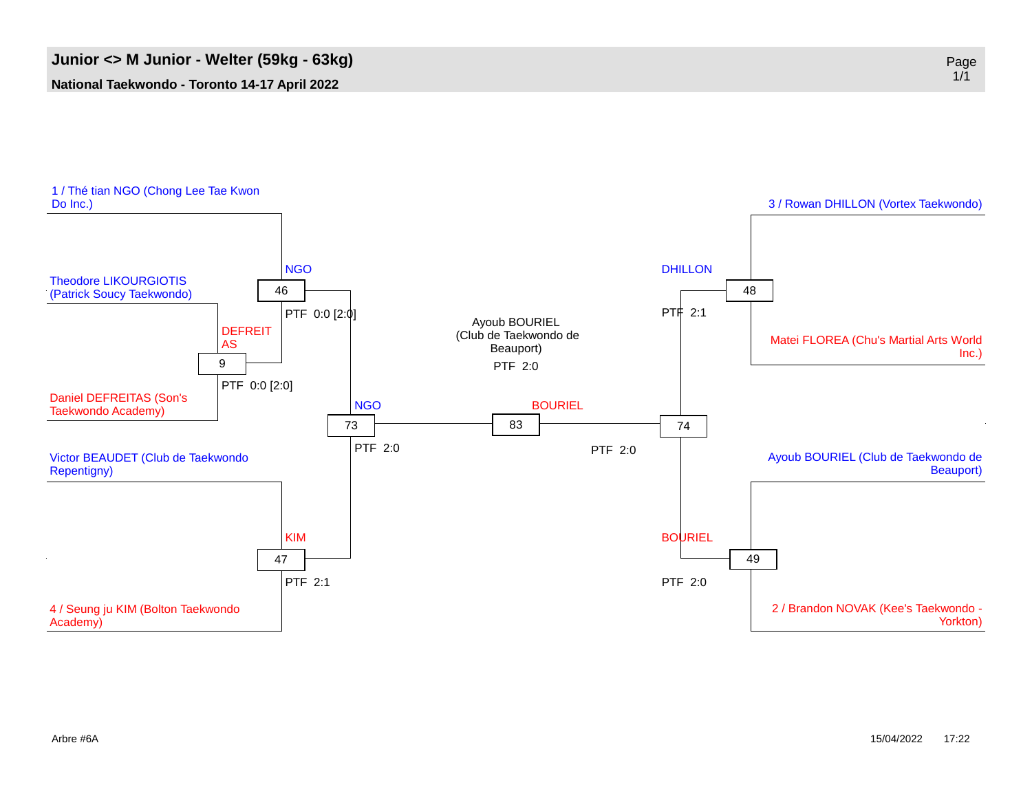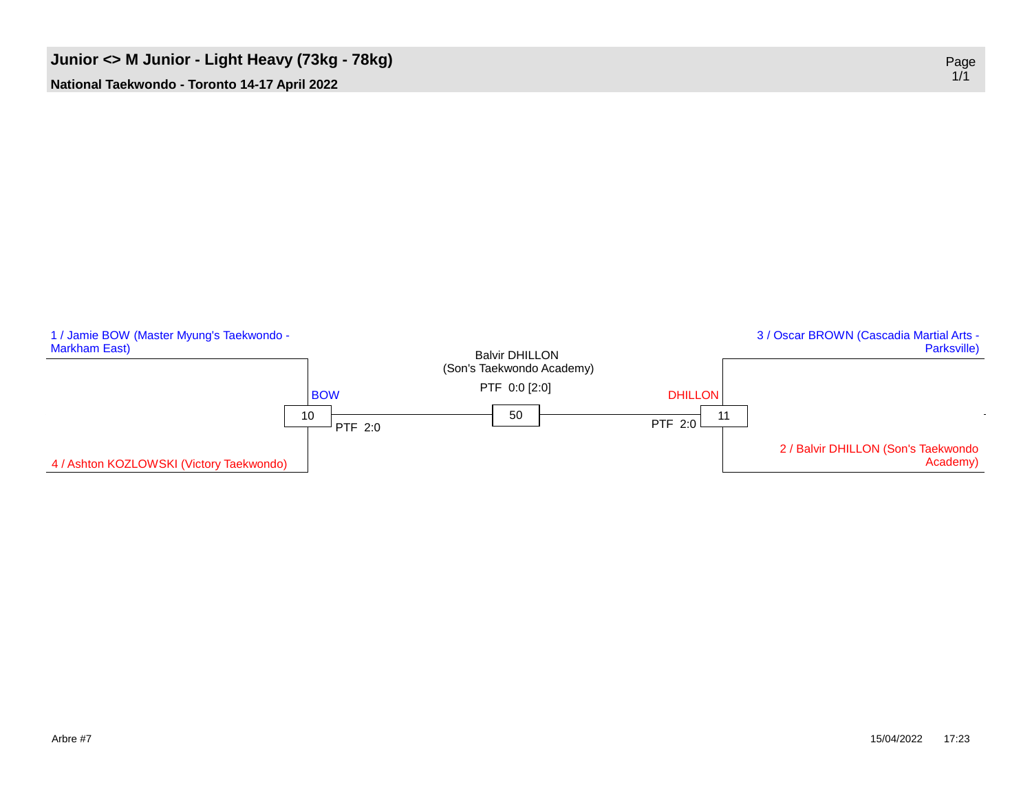# **Junior** <> **M** Junior **-** Light Heavy (73kg - 78kg)

**National Taekwondo - Toronto 14-17 April 2022**

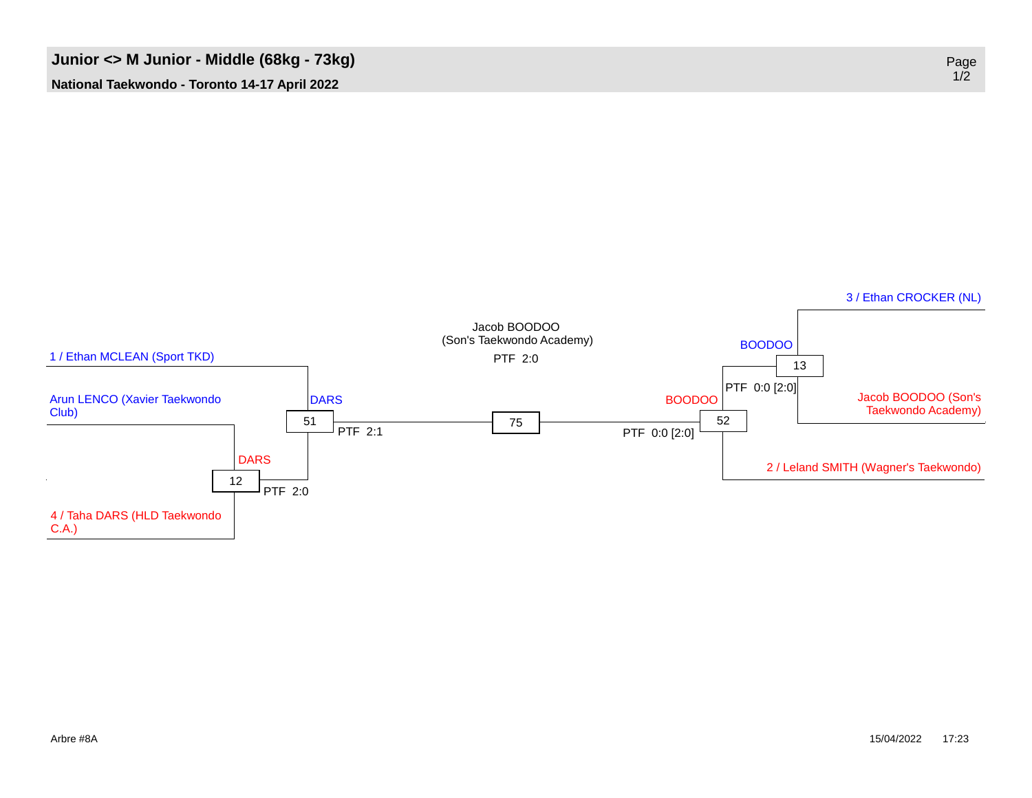

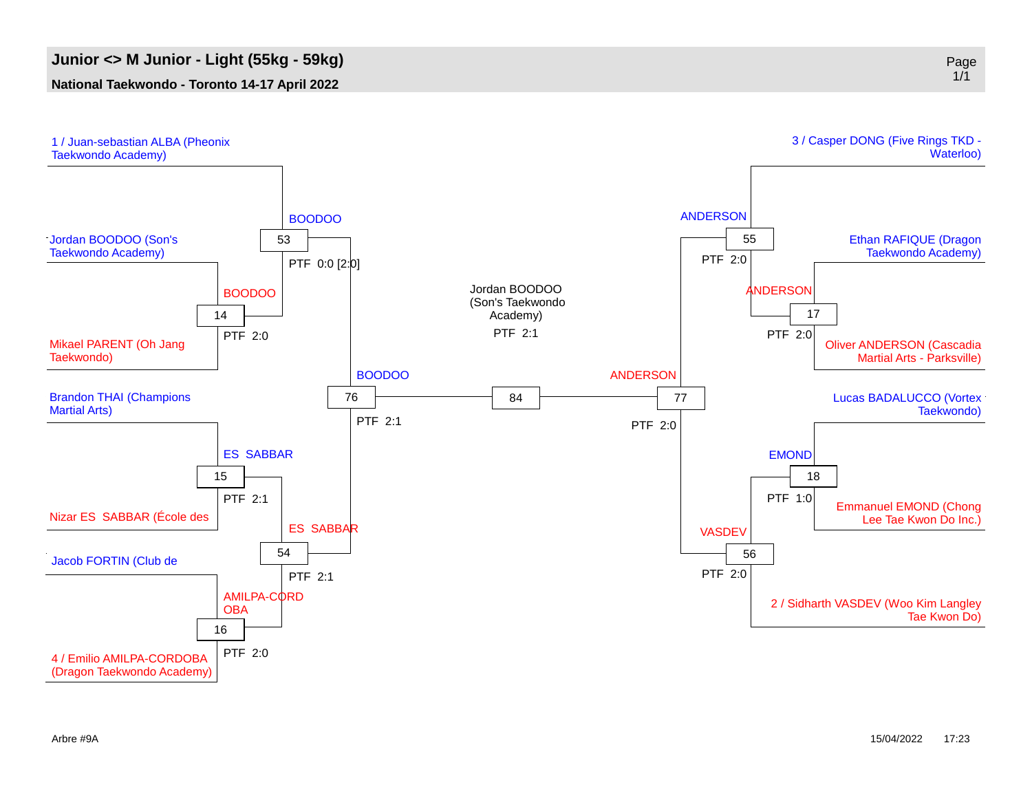#### **Junior <> M Junior - Light (55kg - 59kg)** Page

#### **National Taekwondo - Toronto 14-17 April 2022**



(Dragon Taekwondo Academy)

Arbre #9A 15/04/2022 17:23

1/1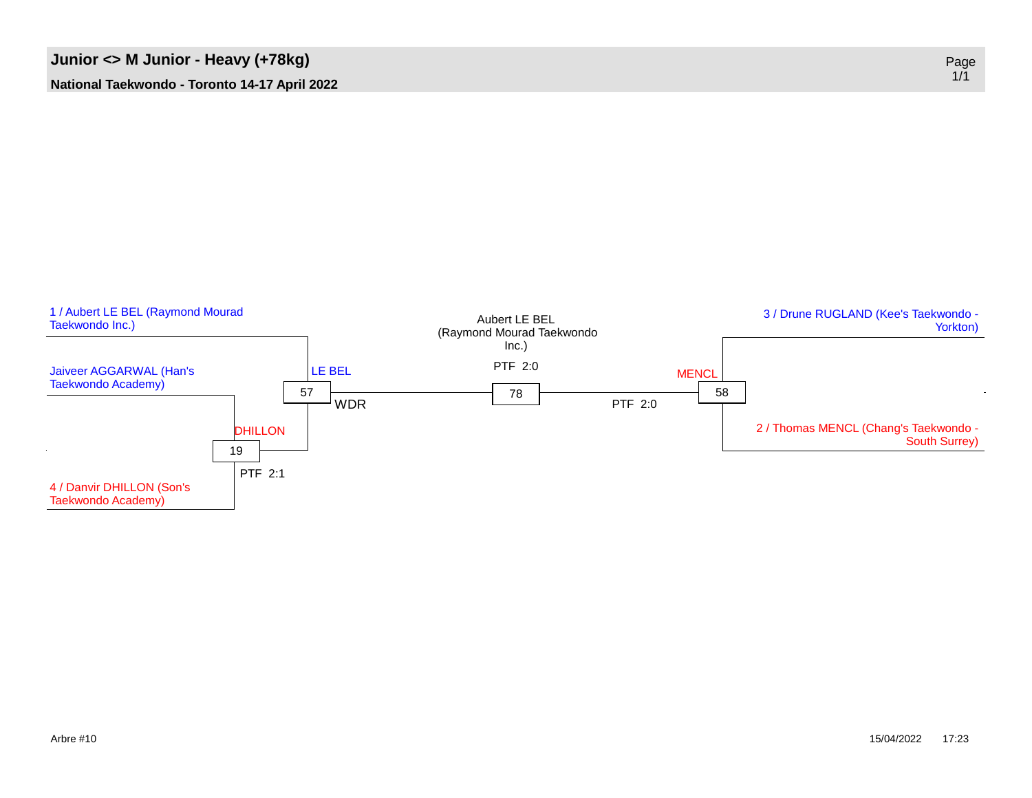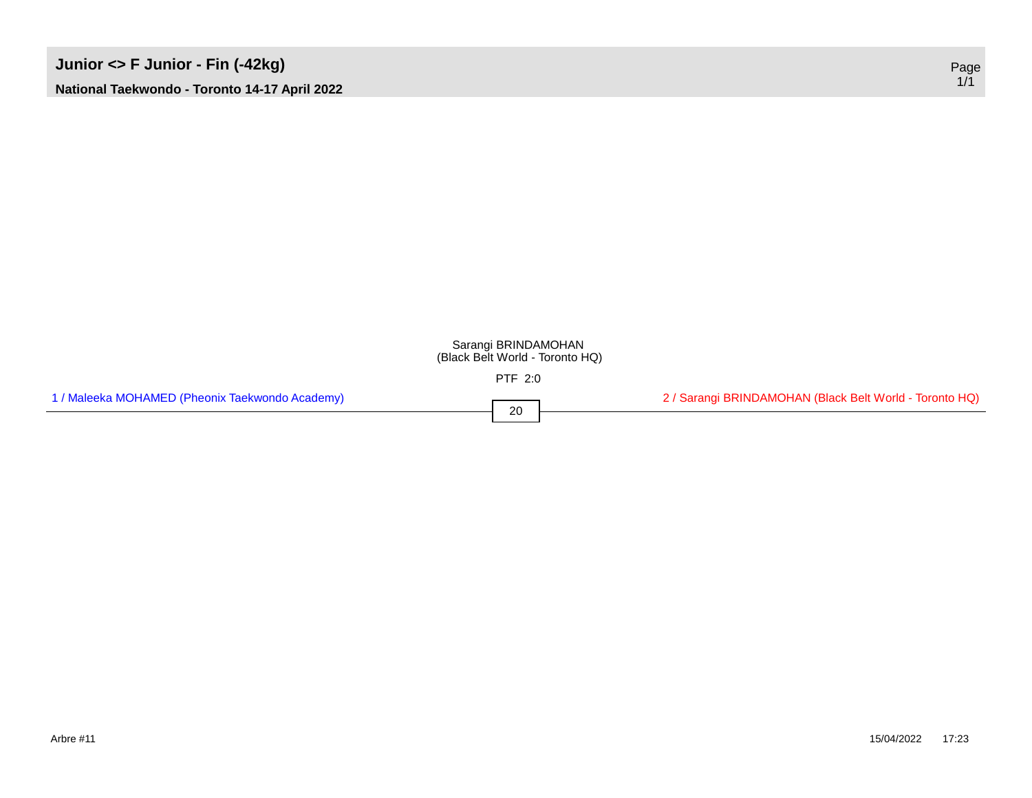#### Sarangi BRINDAMOHAN (Black Belt World - Toronto HQ)

PTF 2:0

20

| 1 / Maleeka MOHAMED (Pheonix Taekwondo Academy) |  |
|-------------------------------------------------|--|
|-------------------------------------------------|--|

2 / Sarangi BRINDAMOHAN (Black Belt World - Toronto HQ)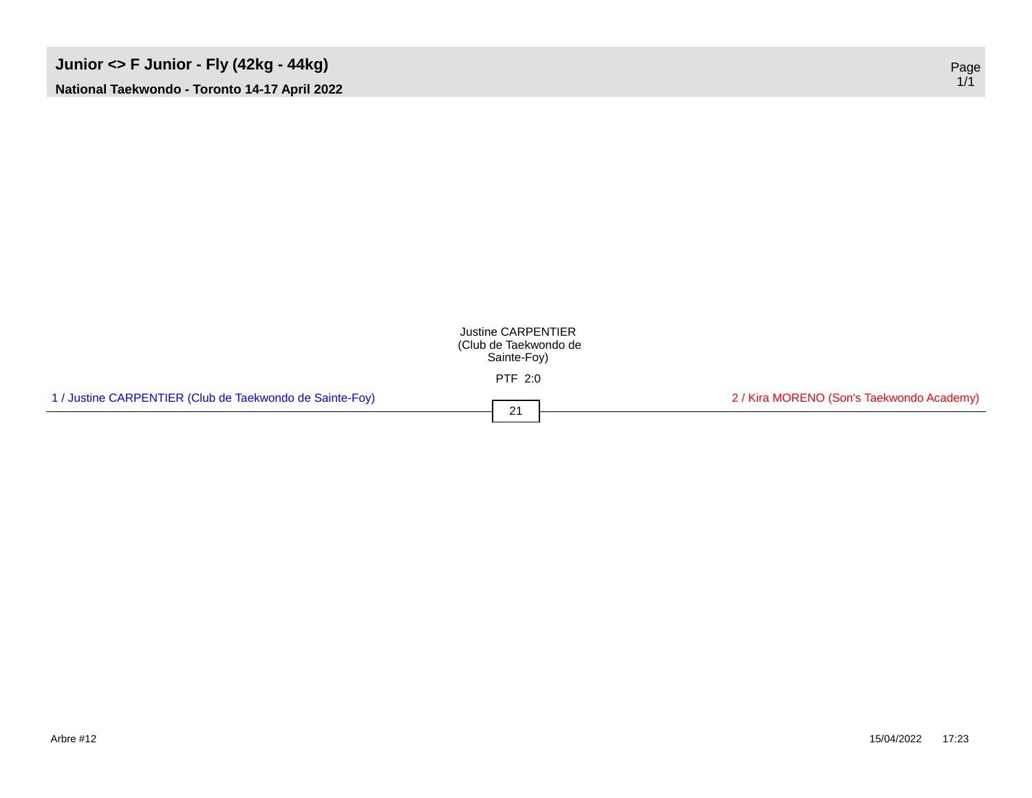### **Junior <> F Junior - Fly (42kg - 44kg)** Page **National Taekwondo - Toronto 14-17 April 2022**

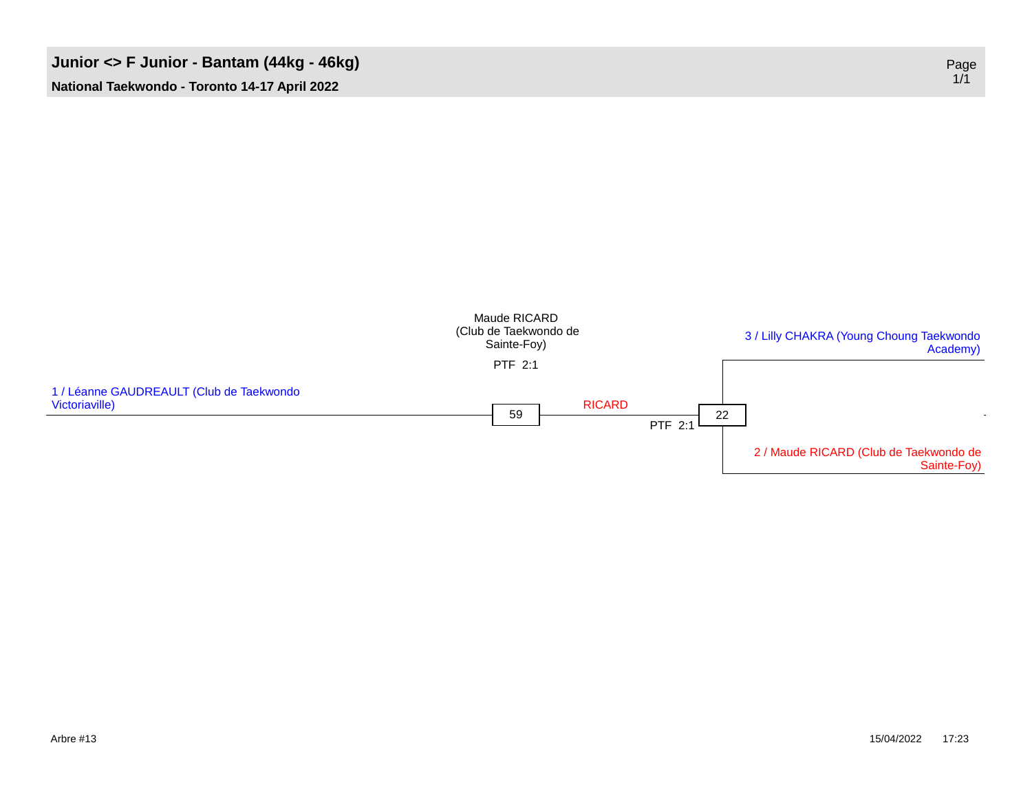#### **Junior** <> **F** Junior **-** Bantam (44kg - 46kg)



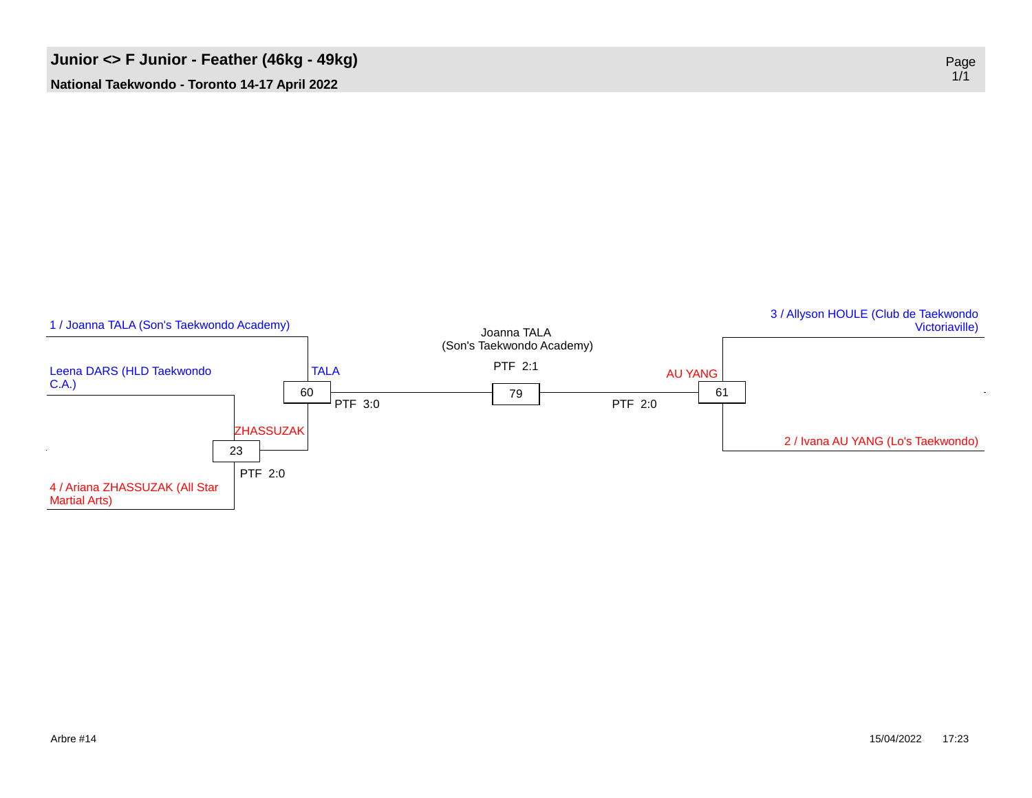

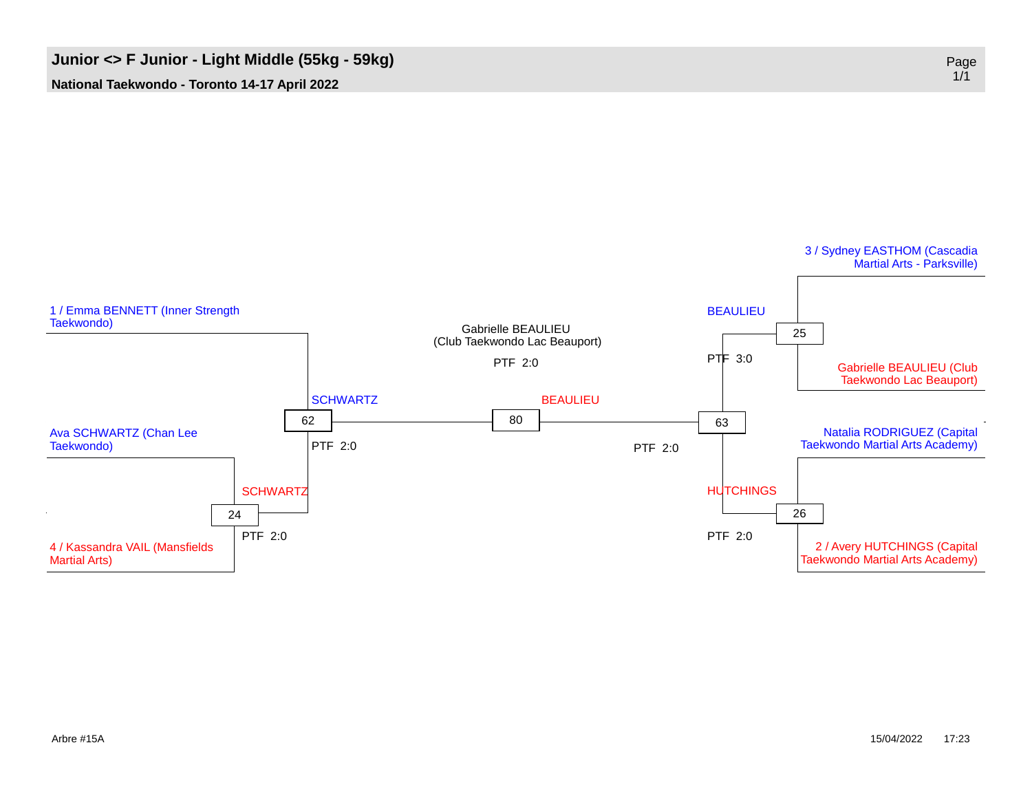## **Junior <> F Junior - Light Middle (55kg - 59kg)** Page

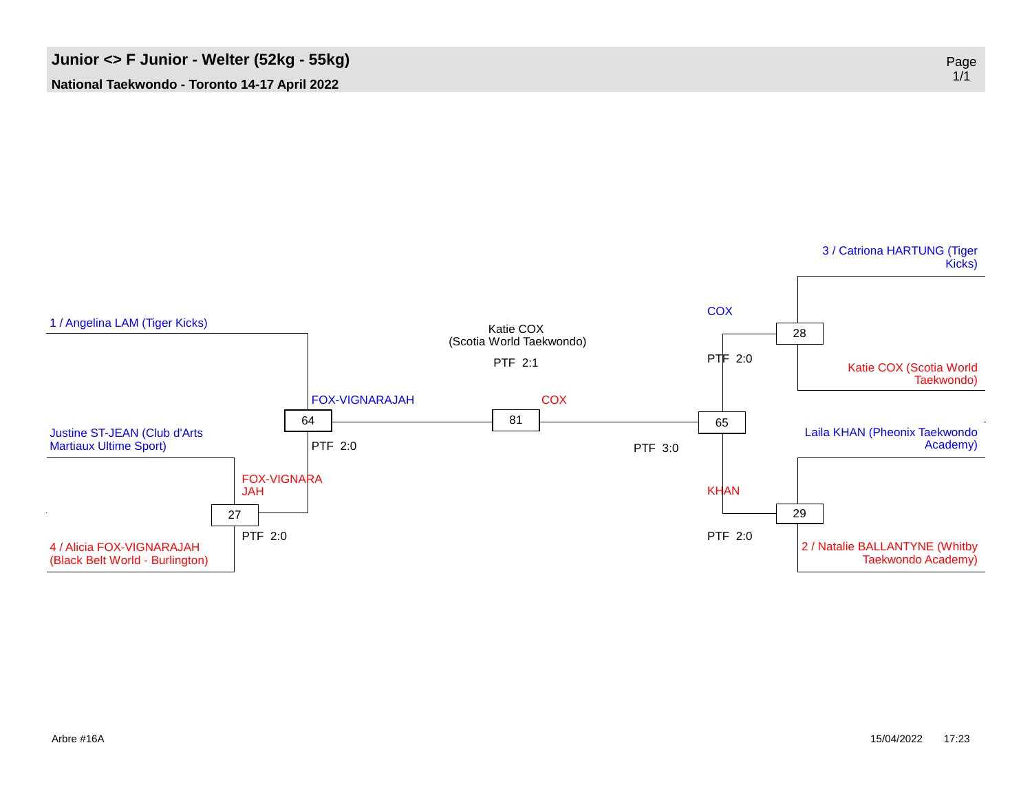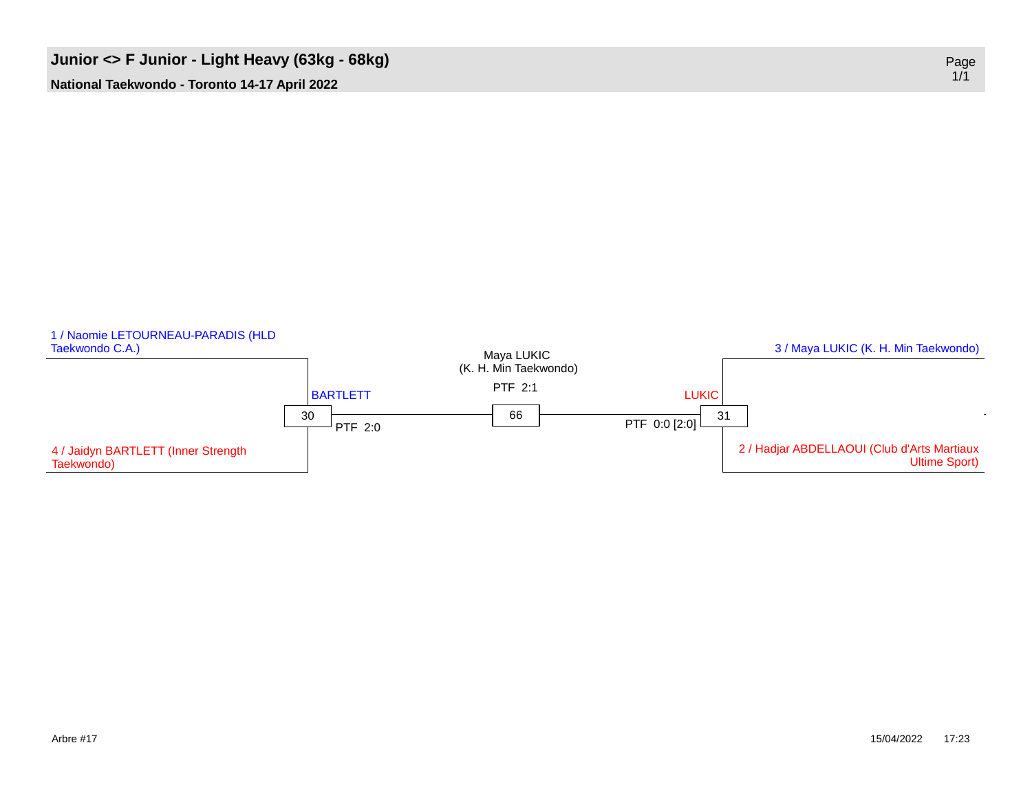### **Junior** <> **F** Junior - Light Heavy (63kg - 68kg)

**National Taekwondo - Toronto 14-17 April 2022**

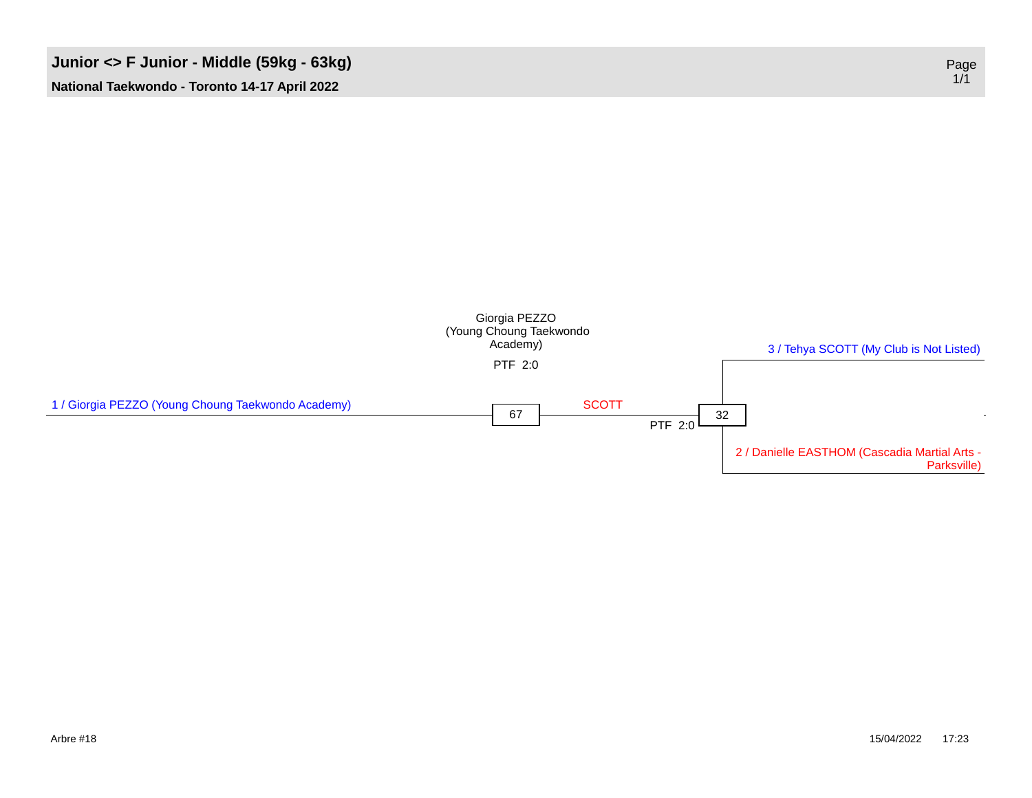#### **Junior <> F Junior - Middle (59kg - 63kg)** Page

**National Taekwondo - Toronto 14-17 April 2022**

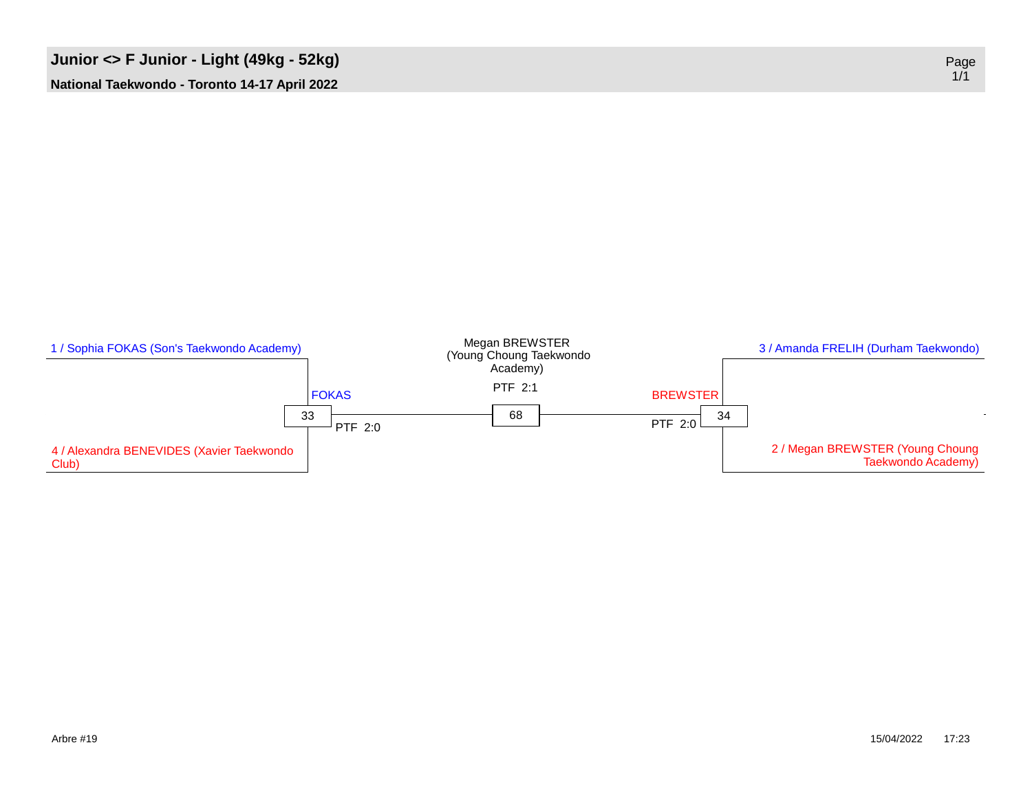